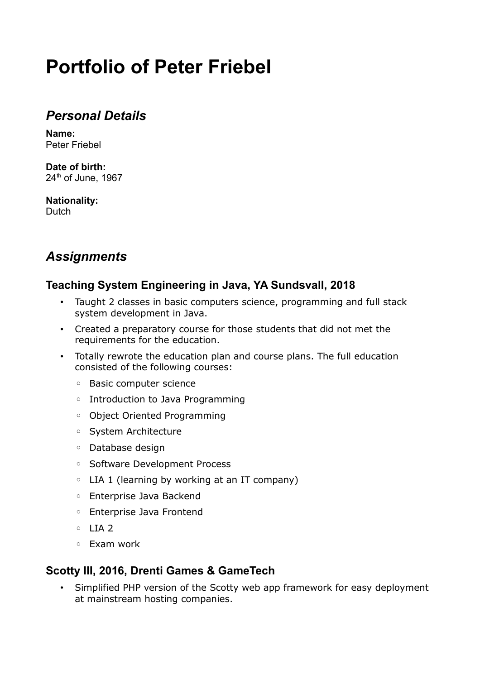# **Portfolio of Peter Friebel**

# *Personal Details*

**Name:** Peter Friebel

**Date of birth:** 24<sup>th</sup> of June, 1967

**Nationality: Dutch** 

# *Assignments*

### **Teaching System Engineering in Java, YA Sundsvall, 2018**

- Taught 2 classes in basic computers science, programming and full stack system development in Java.
- Created a preparatory course for those students that did not met the requirements for the education.
- Totally rewrote the education plan and course plans. The full education consisted of the following courses:
	- Basic computer science
	- Introduction to Java Programming
	- Object Oriented Programming
	- System Architecture
	- Database design
	- Software Development Process
	- LIA 1 (learning by working at an IT company)
	- Enterprise Java Backend
	- Enterprise Java Frontend
	- LIA 2
	- Exam work

### **Scotty III, 2016, Drenti Games & GameTech**

• Simplified PHP version of the Scotty web app framework for easy deployment at mainstream hosting companies.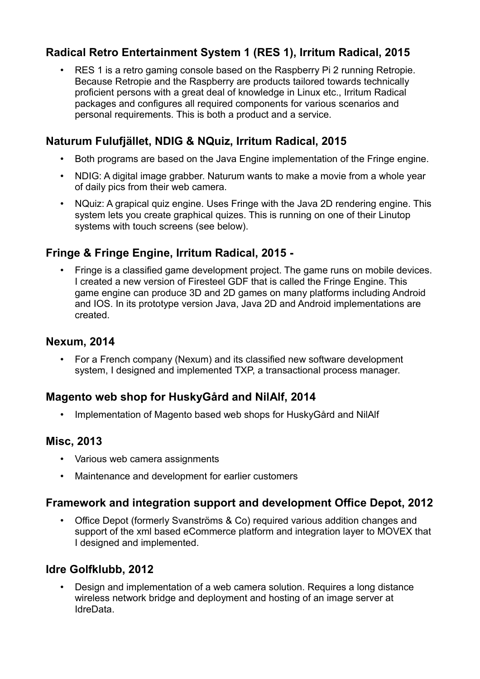# **Radical Retro Entertainment System 1 (RES 1), Irritum Radical, 2015**

• RES 1 is a retro gaming console based on the Raspberry Pi 2 running Retropie. Because Retropie and the Raspberry are products tailored towards technically proficient persons with a great deal of knowledge in Linux etc., Irritum Radical packages and configures all required components for various scenarios and personal requirements. This is both a product and a service.

# **Naturum Fulufjället, NDIG & NQuiz, Irritum Radical, 2015**

- Both programs are based on the Java Engine implementation of the Fringe engine.
- NDIG: A digital image grabber. Naturum wants to make a movie from a whole year of daily pics from their web camera.
- NQuiz: A grapical quiz engine. Uses Fringe with the Java 2D rendering engine. This system lets you create graphical quizes. This is running on one of their Linutop systems with touch screens (see below).

### **Fringe & Fringe Engine, Irritum Radical, 2015 -**

• Fringe is a classified game development project. The game runs on mobile devices. I created a new version of Firesteel GDF that is called the Fringe Engine. This game engine can produce 3D and 2D games on many platforms including Android and IOS. In its prototype version Java, Java 2D and Android implementations are created.

#### **Nexum, 2014**

• For a French company (Nexum) and its classified new software development system, I designed and implemented TXP, a transactional process manager.

### **Magento web shop for HuskyGård and NilAlf, 2014**

• Implementation of Magento based web shops for HuskyGård and NilAlf

### **Misc, 2013**

- Various web camera assignments
- Maintenance and development for earlier customers

### **Framework and integration support and development Office Depot, 2012**

• Office Depot (formerly Svanströms & Co) required various addition changes and support of the xml based eCommerce platform and integration layer to MOVEX that I designed and implemented.

### **Idre Golfklubb, 2012**

• Design and implementation of a web camera solution. Requires a long distance wireless network bridge and deployment and hosting of an image server at IdreData.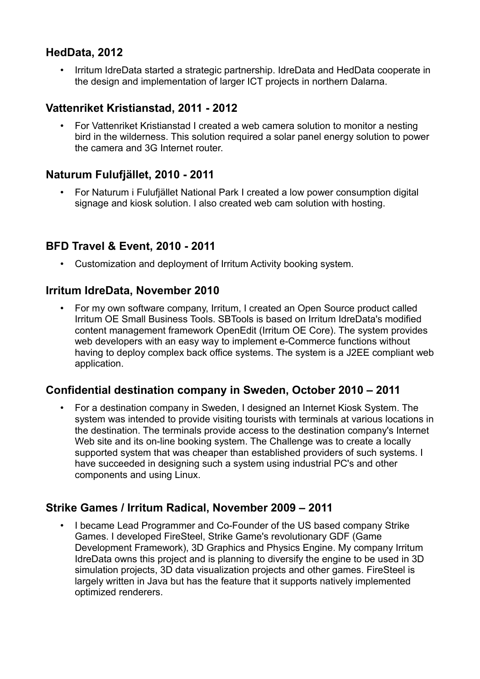### **HedData, 2012**

• Irritum IdreData started a strategic partnership. IdreData and HedData cooperate in the design and implementation of larger ICT projects in northern Dalarna.

#### **Vattenriket Kristianstad, 2011 - 2012**

• For Vattenriket Kristianstad I created a web camera solution to monitor a nesting bird in the wilderness. This solution required a solar panel energy solution to power the camera and 3G Internet router.

### **Naturum Fulufjället, 2010 - 2011**

• For Naturum i Fulufjället National Park I created a low power consumption digital signage and kiosk solution. I also created web cam solution with hosting.

### **BFD Travel & Event, 2010 - 2011**

• Customization and deployment of Irritum Activity booking system.

#### **Irritum IdreData, November 2010**

• For my own software company, Irritum, I created an Open Source product called Irritum OE Small Business Tools. SBTools is based on Irritum IdreData's modified content management framework OpenEdit (Irritum OE Core). The system provides web developers with an easy way to implement e-Commerce functions without having to deploy complex back office systems. The system is a J2EE compliant web application.

#### **Confidential destination company in Sweden, October 2010 – 2011**

• For a destination company in Sweden, I designed an Internet Kiosk System. The system was intended to provide visiting tourists with terminals at various locations in the destination. The terminals provide access to the destination company's Internet Web site and its on-line booking system. The Challenge was to create a locally supported system that was cheaper than established providers of such systems. I have succeeded in designing such a system using industrial PC's and other components and using Linux.

#### **Strike Games / Irritum Radical, November 2009 – 2011**

• I became Lead Programmer and Co-Founder of the US based company Strike Games. I developed FireSteel, Strike Game's revolutionary GDF (Game Development Framework), 3D Graphics and Physics Engine. My company Irritum IdreData owns this project and is planning to diversify the engine to be used in 3D simulation projects, 3D data visualization projects and other games. FireSteel is largely written in Java but has the feature that it supports natively implemented optimized renderers.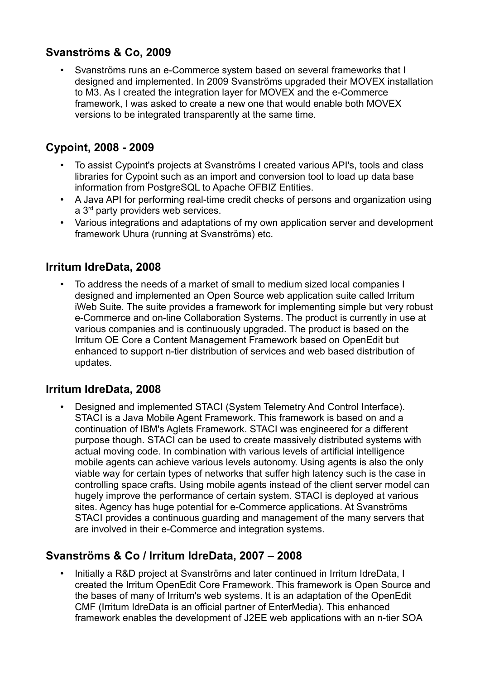### **Svanströms & Co, 2009**

• Svanströms runs an e-Commerce system based on several frameworks that I designed and implemented. In 2009 Svanströms upgraded their MOVEX installation to M3. As I created the integration layer for MOVEX and the e-Commerce framework, I was asked to create a new one that would enable both MOVEX versions to be integrated transparently at the same time.

### **Cypoint, 2008 - 2009**

- To assist Cypoint's projects at Svanströms I created various API's, tools and class libraries for Cypoint such as an import and conversion tool to load up data base information from PostgreSQL to Apache OFBIZ Entities.
- A Java API for performing real-time credit checks of persons and organization using a 3<sup>rd</sup> party providers web services.
- Various integrations and adaptations of my own application server and development framework Uhura (running at Svanströms) etc.

### **Irritum IdreData, 2008**

• To address the needs of a market of small to medium sized local companies I designed and implemented an Open Source web application suite called Irritum iWeb Suite. The suite provides a framework for implementing simple but very robust e-Commerce and on-line Collaboration Systems. The product is currently in use at various companies and is continuously upgraded. The product is based on the Irritum OE Core a Content Management Framework based on OpenEdit but enhanced to support n-tier distribution of services and web based distribution of updates.

#### **Irritum IdreData, 2008**

• Designed and implemented STACI (System Telemetry And Control Interface). STACI is a Java Mobile Agent Framework. This framework is based on and a continuation of IBM's Aglets Framework. STACI was engineered for a different purpose though. STACI can be used to create massively distributed systems with actual moving code. In combination with various levels of artificial intelligence mobile agents can achieve various levels autonomy. Using agents is also the only viable way for certain types of networks that suffer high latency such is the case in controlling space crafts. Using mobile agents instead of the client server model can hugely improve the performance of certain system. STACI is deployed at various sites. Agency has huge potential for e-Commerce applications. At Svanströms STACI provides a continuous guarding and management of the many servers that are involved in their e-Commerce and integration systems.

### **Svanströms & Co / Irritum IdreData, 2007 – 2008**

• Initially a R&D project at Svanströms and later continued in Irritum IdreData, I created the Irritum OpenEdit Core Framework. This framework is Open Source and the bases of many of Irritum's web systems. It is an adaptation of the OpenEdit CMF (Irritum IdreData is an official partner of EnterMedia). This enhanced framework enables the development of J2EE web applications with an n-tier SOA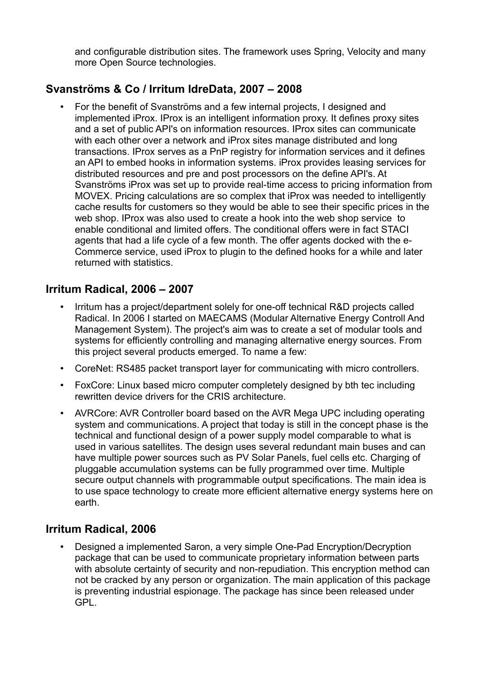and configurable distribution sites. The framework uses Spring, Velocity and many more Open Source technologies.

# **Svanströms & Co / Irritum IdreData, 2007 – 2008**

• For the benefit of Svanströms and a few internal projects, I designed and implemented iProx. IProx is an intelligent information proxy. It defines proxy sites and a set of public API's on information resources. IProx sites can communicate with each other over a network and iProx sites manage distributed and long transactions. IProx serves as a PnP registry for information services and it defines an API to embed hooks in information systems. iProx provides leasing services for distributed resources and pre and post processors on the define API's. At Svanströms iProx was set up to provide real-time access to pricing information from MOVEX. Pricing calculations are so complex that iProx was needed to intelligently cache results for customers so they would be able to see their specific prices in the web shop. IProx was also used to create a hook into the web shop service to enable conditional and limited offers. The conditional offers were in fact STACI agents that had a life cycle of a few month. The offer agents docked with the e-Commerce service, used iProx to plugin to the defined hooks for a while and later returned with statistics.

### **Irritum Radical, 2006 – 2007**

- Irritum has a project/department solely for one-off technical R&D projects called Radical. In 2006 I started on MAECAMS (Modular Alternative Energy Controll And Management System). The project's aim was to create a set of modular tools and systems for efficiently controlling and managing alternative energy sources. From this project several products emerged. To name a few:
- CoreNet: RS485 packet transport layer for communicating with micro controllers.
- FoxCore: Linux based micro computer completely designed by bth tec including rewritten device drivers for the CRIS architecture.
- AVRCore: AVR Controller board based on the AVR Mega UPC including operating system and communications. A project that today is still in the concept phase is the technical and functional design of a power supply model comparable to what is used in various satellites. The design uses several redundant main buses and can have multiple power sources such as PV Solar Panels, fuel cells etc. Charging of pluggable accumulation systems can be fully programmed over time. Multiple secure output channels with programmable output specifications. The main idea is to use space technology to create more efficient alternative energy systems here on earth.

### **Irritum Radical, 2006**

• Designed a implemented Saron, a very simple One-Pad Encryption/Decryption package that can be used to communicate proprietary information between parts with absolute certainty of security and non-repudiation. This encryption method can not be cracked by any person or organization. The main application of this package is preventing industrial espionage. The package has since been released under GPL.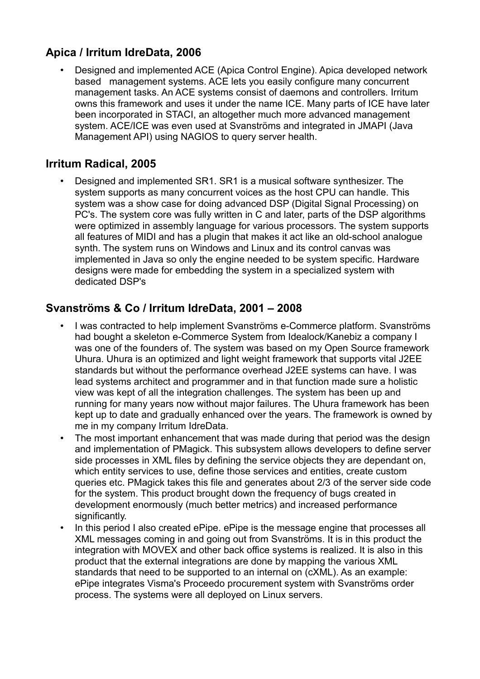# **Apica / Irritum IdreData, 2006**

• Designed and implemented ACE (Apica Control Engine). Apica developed network based management systems. ACE lets you easily configure many concurrent management tasks. An ACE systems consist of daemons and controllers. Irritum owns this framework and uses it under the name ICE. Many parts of ICE have later been incorporated in STACI, an altogether much more advanced management system. ACE/ICE was even used at Svanströms and integrated in JMAPI (Java Management API) using NAGIOS to query server health.

### **Irritum Radical, 2005**

• Designed and implemented SR1. SR1 is a musical software synthesizer. The system supports as many concurrent voices as the host CPU can handle. This system was a show case for doing advanced DSP (Digital Signal Processing) on PC's. The system core was fully written in C and later, parts of the DSP algorithms were optimized in assembly language for various processors. The system supports all features of MIDI and has a plugin that makes it act like an old-school analogue synth. The system runs on Windows and Linux and its control canvas was implemented in Java so only the engine needed to be system specific. Hardware designs were made for embedding the system in a specialized system with dedicated DSP's

### **Svanströms & Co / Irritum IdreData, 2001 – 2008**

- I was contracted to help implement Svanströms e-Commerce platform. Svanströms had bought a skeleton e-Commerce System from Idealock/Kanebiz a company I was one of the founders of. The system was based on my Open Source framework Uhura. Uhura is an optimized and light weight framework that supports vital J2EE standards but without the performance overhead J2EE systems can have. I was lead systems architect and programmer and in that function made sure a holistic view was kept of all the integration challenges. The system has been up and running for many years now without major failures. The Uhura framework has been kept up to date and gradually enhanced over the years. The framework is owned by me in my company Irritum IdreData.
- The most important enhancement that was made during that period was the design and implementation of PMagick. This subsystem allows developers to define server side processes in XML files by defining the service objects they are dependant on, which entity services to use, define those services and entities, create custom queries etc. PMagick takes this file and generates about 2/3 of the server side code for the system. This product brought down the frequency of bugs created in development enormously (much better metrics) and increased performance significantly.
- In this period I also created ePipe. ePipe is the message engine that processes all XML messages coming in and going out from Svanströms. It is in this product the integration with MOVEX and other back office systems is realized. It is also in this product that the external integrations are done by mapping the various XML standards that need to be supported to an internal on (cXML). As an example: ePipe integrates Visma's Proceedo procurement system with Svanströms order process. The systems were all deployed on Linux servers.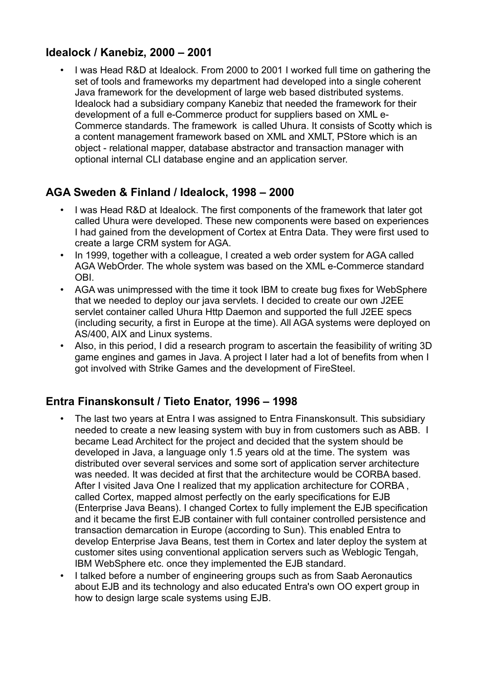### **Idealock / Kanebiz, 2000 – 2001**

• I was Head R&D at Idealock. From 2000 to 2001 I worked full time on gathering the set of tools and frameworks my department had developed into a single coherent Java framework for the development of large web based distributed systems. Idealock had a subsidiary company Kanebiz that needed the framework for their development of a full e-Commerce product for suppliers based on XML e-Commerce standards. The framework is called Uhura. It consists of Scotty which is a content management framework based on XML and XMLT, PStore which is an object - relational mapper, database abstractor and transaction manager with optional internal CLI database engine and an application server.

### **AGA Sweden & Finland / Idealock, 1998 – 2000**

- I was Head R&D at Idealock. The first components of the framework that later got called Uhura were developed. These new components were based on experiences I had gained from the development of Cortex at Entra Data. They were first used to create a large CRM system for AGA.
- In 1999, together with a colleague, I created a web order system for AGA called AGA WebOrder. The whole system was based on the XML e-Commerce standard OBI.
- AGA was unimpressed with the time it took IBM to create bug fixes for WebSphere that we needed to deploy our java servlets. I decided to create our own J2EE servlet container called Uhura Http Daemon and supported the full J2EE specs (including security, a first in Europe at the time). All AGA systems were deployed on AS/400, AIX and Linux systems.
- Also, in this period, I did a research program to ascertain the feasibility of writing 3D game engines and games in Java. A project I later had a lot of benefits from when I got involved with Strike Games and the development of FireSteel.

### **Entra Finanskonsult / Tieto Enator, 1996 – 1998**

- The last two years at Entra I was assigned to Entra Finanskonsult. This subsidiary needed to create a new leasing system with buy in from customers such as ABB. I became Lead Architect for the project and decided that the system should be developed in Java, a language only 1.5 years old at the time. The system was distributed over several services and some sort of application server architecture was needed. It was decided at first that the architecture would be CORBA based. After I visited Java One I realized that my application architecture for CORBA , called Cortex, mapped almost perfectly on the early specifications for EJB (Enterprise Java Beans). I changed Cortex to fully implement the EJB specification and it became the first EJB container with full container controlled persistence and transaction demarcation in Europe (according to Sun). This enabled Entra to develop Enterprise Java Beans, test them in Cortex and later deploy the system at customer sites using conventional application servers such as Weblogic Tengah, IBM WebSphere etc. once they implemented the EJB standard.
- I talked before a number of engineering groups such as from Saab Aeronautics about EJB and its technology and also educated Entra's own OO expert group in how to design large scale systems using EJB.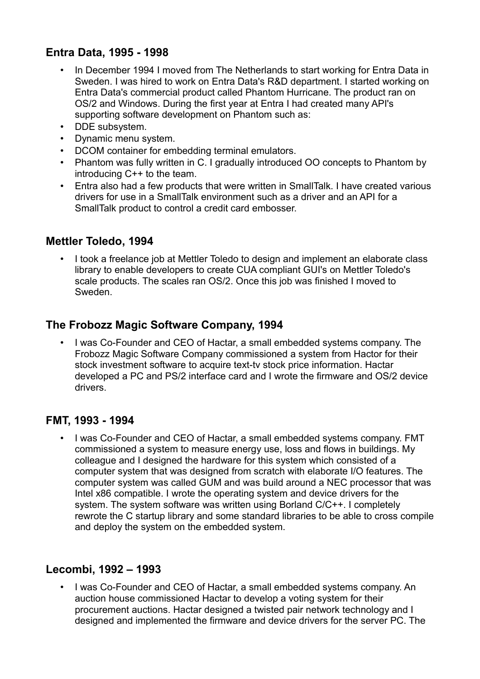### **Entra Data, 1995 - 1998**

- In December 1994 I moved from The Netherlands to start working for Entra Data in Sweden. I was hired to work on Entra Data's R&D department. I started working on Entra Data's commercial product called Phantom Hurricane. The product ran on OS/2 and Windows. During the first year at Entra I had created many API's supporting software development on Phantom such as:
- DDE subsystem.
- Dynamic menu system.
- DCOM container for embedding terminal emulators.
- Phantom was fully written in C. I gradually introduced OO concepts to Phantom by introducing C++ to the team.
- Entra also had a few products that were written in SmallTalk. I have created various drivers for use in a SmallTalk environment such as a driver and an API for a SmallTalk product to control a credit card embosser.

#### **Mettler Toledo, 1994**

• I took a freelance job at Mettler Toledo to design and implement an elaborate class library to enable developers to create CUA compliant GUI's on Mettler Toledo's scale products. The scales ran OS/2. Once this job was finished I moved to Sweden.

### **The Frobozz Magic Software Company, 1994**

• I was Co-Founder and CEO of Hactar, a small embedded systems company. The Frobozz Magic Software Company commissioned a system from Hactor for their stock investment software to acquire text-tv stock price information. Hactar developed a PC and PS/2 interface card and I wrote the firmware and OS/2 device drivers.

### **FMT, 1993 - 1994**

• I was Co-Founder and CEO of Hactar, a small embedded systems company. FMT commissioned a system to measure energy use, loss and flows in buildings. My colleague and I designed the hardware for this system which consisted of a computer system that was designed from scratch with elaborate I/O features. The computer system was called GUM and was build around a NEC processor that was Intel x86 compatible. I wrote the operating system and device drivers for the system. The system software was written using Borland C/C++. I completely rewrote the C startup library and some standard libraries to be able to cross compile and deploy the system on the embedded system.

### **Lecombi, 1992 – 1993**

• I was Co-Founder and CEO of Hactar, a small embedded systems company. An auction house commissioned Hactar to develop a voting system for their procurement auctions. Hactar designed a twisted pair network technology and I designed and implemented the firmware and device drivers for the server PC. The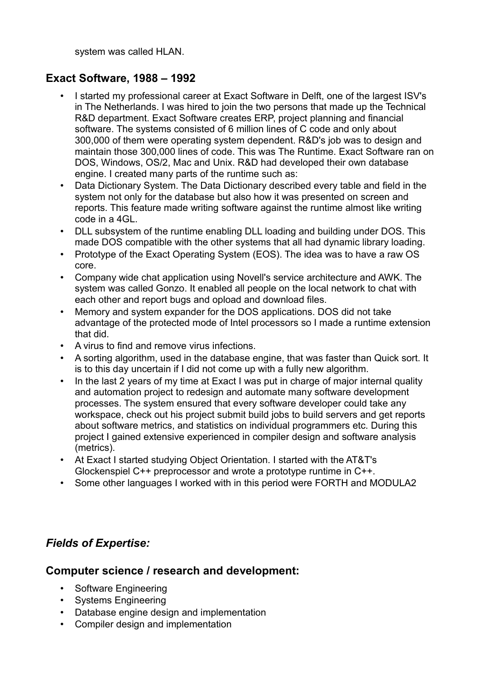system was called HLAN.

### **Exact Software, 1988 – 1992**

- I started my professional career at Exact Software in Delft, one of the largest ISV's in The Netherlands. I was hired to join the two persons that made up the Technical R&D department. Exact Software creates ERP, project planning and financial software. The systems consisted of 6 million lines of C code and only about 300,000 of them were operating system dependent. R&D's job was to design and maintain those 300,000 lines of code. This was The Runtime. Exact Software ran on DOS, Windows, OS/2, Mac and Unix. R&D had developed their own database engine. I created many parts of the runtime such as:
- Data Dictionary System. The Data Dictionary described every table and field in the system not only for the database but also how it was presented on screen and reports. This feature made writing software against the runtime almost like writing code in a 4GL.
- DLL subsystem of the runtime enabling DLL loading and building under DOS. This made DOS compatible with the other systems that all had dynamic library loading.
- Prototype of the Exact Operating System (EOS). The idea was to have a raw OS core.
- Company wide chat application using Novell's service architecture and AWK. The system was called Gonzo. It enabled all people on the local network to chat with each other and report bugs and opload and download files.
- Memory and system expander for the DOS applications. DOS did not take advantage of the protected mode of Intel processors so I made a runtime extension that did.
- A virus to find and remove virus infections.
- A sorting algorithm, used in the database engine, that was faster than Quick sort. It is to this day uncertain if I did not come up with a fully new algorithm.
- In the last 2 years of my time at Exact I was put in charge of major internal quality and automation project to redesign and automate many software development processes. The system ensured that every software developer could take any workspace, check out his project submit build jobs to build servers and get reports about software metrics, and statistics on individual programmers etc. During this project I gained extensive experienced in compiler design and software analysis (metrics).
- At Exact I started studying Object Orientation. I started with the AT&T's Glockenspiel C++ preprocessor and wrote a prototype runtime in C++.
- Some other languages I worked with in this period were FORTH and MODULA2

### *Fields of Expertise:*

### **Computer science / research and development:**

- Software Engineering
- Systems Engineering
- Database engine design and implementation
- Compiler design and implementation